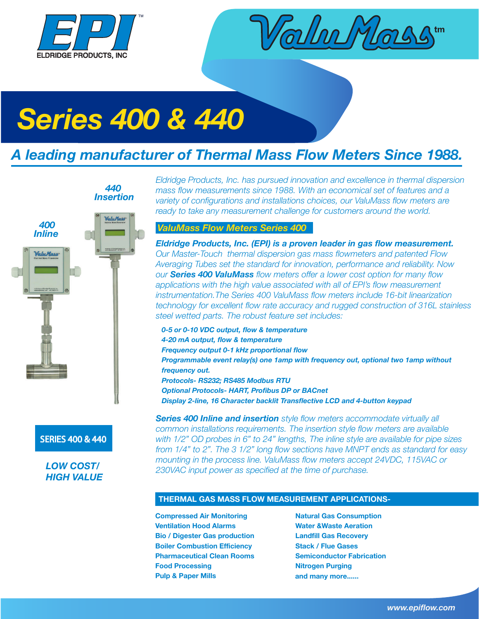



# *Series 400 & 440*

*440*

# *A leading manufacturer of Thermal Mass Flow Meters Since 1988.*



### SERIES 400 & 440

*LOW COST/ HIGH VALUE* *Eldridge Products, Inc. has pursued innovation and excellence in thermal dispersion mass flow measurements since 1988. With an economical set of features and a variety of configurations and installations choices, our ValuMass flow meters are ready to take any measurement challenge for customers around the world.* 

## *ValuMass Flow Meters Series 400*

*Eldridge Products, Inc. (EPI) is a proven leader in gas flow measurement. Our Master-Touch thermal dispersion gas mass flowmeters and patented Flow Averaging Tubes set the standard for innovation, performance and reliability. Now our Series 400 ValuMass flow meters offer a lower cost option for many flow applications with the high value associated with all of EPI's flow measurement instrumentation.The Series 400 ValuMass flow meters include 16-bit linearization technology for excellent flow rate accuracy and rugged construction of 316L stainless steel wetted parts. The robust feature set includes:*

*0-5 or 0-10 VDC output, flow & temperature 4-20 mA output, flow & temperature Frequency output 0-1 kHz proportional flow Programmable event relay(s) one 1amp with frequency out, optional two 1amp without frequency out. Protocols- RS232; RS485 Modbus RTU Optional Protocols- HART, Profibus DP or BACnet Display 2-line, 16 Character backlit Transflective LCD and 4-button keypad*

*Series 400 Inline and insertion style flow meters accommodate virtually all common installations requirements. The insertion style flow meters are available with 1/2" OD probes in 6" to 24" lengths, The inline style are available for pipe sizes from 1/4" to 2". The 3 1/2" long flow sections have MNPT ends as standard for easy mounting in the process line. ValuMass flow meters accept 24VDC, 115VAC or 230VAC input power as specified at the time of purchase.* 

#### **THERMAL GAS MASS FLOW MEASUREMENT APPLICATIONS-**

**Compressed Air Monitoring Natural Gas Consumption Ventilation Hood Alarms Water &Waste Aeration Bio / Digester Gas production Landfill Gas Recovery Boiler Combustion Efficiency Stack / Flue Gases Pharmaceutical Clean Rooms Semiconductor Fabrication Food Processing Nitrogen Purging Pulp & Paper Mills** 

**and many more......**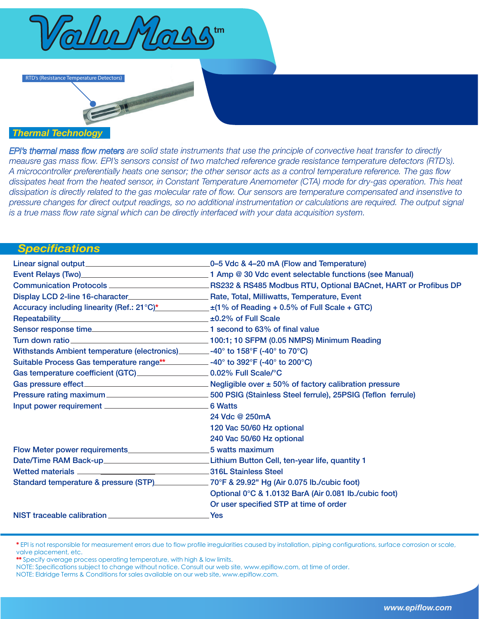

RTD's (Resistance Temperature Detectors)

## *Thermal Technology*

*EPI's thermal mass flow meters are solid state instruments that use the principle of convective heat transfer to directly meausre gas mass flow. EPI's sensors consist of two matched reference grade resistance temperature detectors (RTD's). A microcontroller preferentially heats one sensor; the other sensor acts as a control temperature reference. The gas flow dissipates heat from the heated sensor, in Constant Temperature Anemometer (CTA) mode for dry-gas operation. This heat dissipation is directly related to the gas molecular rate of flow. Our sensors are temperature compensated and insenstive to pressure changes for direct output readings, so no additional instrumentation or calculations are required. The output signal is a true mass flow rate signal which can be directly interfaced with your data acquisition system.*

### *Specifications*

| Linear signal output                                                                                                                                                                                                          | -0-5 Vdc & 4-20 mA (Flow and Temperature)             |
|-------------------------------------------------------------------------------------------------------------------------------------------------------------------------------------------------------------------------------|-------------------------------------------------------|
|                                                                                                                                                                                                                               |                                                       |
|                                                                                                                                                                                                                               |                                                       |
|                                                                                                                                                                                                                               |                                                       |
| Accuracy including linearity (Ref.: $21^{\circ}$ C)* $\qquad \qquad \pm (1\% \text{ of Reading} + 0.5\% \text{ of Full Scale} + GTC)$                                                                                         |                                                       |
|                                                                                                                                                                                                                               |                                                       |
|                                                                                                                                                                                                                               |                                                       |
|                                                                                                                                                                                                                               |                                                       |
| Withstands Ambient temperature (electronics) _______-40° to 158°F (-40° to 70°C)                                                                                                                                              |                                                       |
| Suitable Process Gas temperature range** _______________-40° to 392°F (-40° to 200°C)                                                                                                                                         |                                                       |
| Gas temperature coefficient (GTC) ______________________ 0.02% Full Scale/°C                                                                                                                                                  |                                                       |
|                                                                                                                                                                                                                               |                                                       |
|                                                                                                                                                                                                                               |                                                       |
|                                                                                                                                                                                                                               | 6 Watts                                               |
|                                                                                                                                                                                                                               | 24 Vdc @ 250mA                                        |
|                                                                                                                                                                                                                               | 120 Vac 50/60 Hz optional                             |
|                                                                                                                                                                                                                               | 240 Vac 50/60 Hz optional                             |
|                                                                                                                                                                                                                               | 5 watts maximum                                       |
| Date/Time RAM Back-up__________________________________Lithium Button Cell, ten-year life, quantity 1                                                                                                                         |                                                       |
| Wetted materials and the state of the State of State of the State of the State of the State of the State of the State of the State of the State of the State of the State of the State of the State of the State of the State |                                                       |
| Standard temperature & pressure (STP) 70°F & 29.92" Hg (Air 0.075 lb./cubic foot)                                                                                                                                             |                                                       |
|                                                                                                                                                                                                                               | Optional 0°C & 1.0132 BarA (Air 0.081 lb./cubic foot) |
|                                                                                                                                                                                                                               | Or user specified STP at time of order                |
|                                                                                                                                                                                                                               | <b>Yes</b>                                            |

\* EPI is not responsible for measurement errors due to flow profile irregularities caused by installation, piping configurations, surface corrosion or scale, valve placement, etc.

\*\* Specify average process operating temperature, with high & low limits.

NOTE: Specifications subject to change without notice. Consult our web site, www.epiflow.com, at time of order.

NOTE: Eldridge Terms & Conditions for sales available on our web site, www.epiflow.com.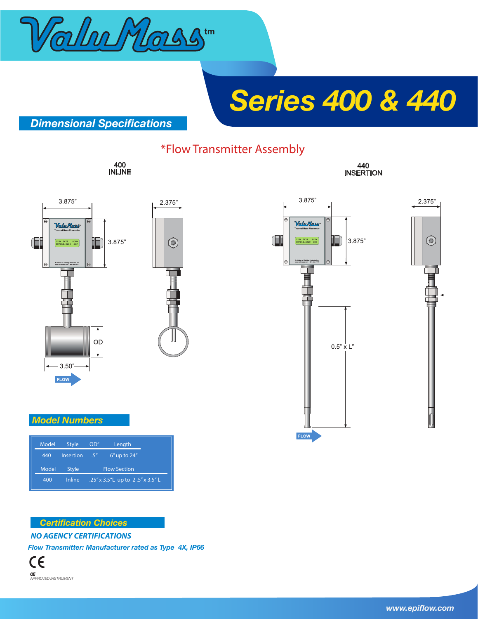

# *Series 400 & 440*

## *Dimensional Specifications*

## \*Flow Transmitter Assembly

400 INLINE







### *Model Numbers*

| Model | <b>Style</b> | OD''                | Length                            |
|-------|--------------|---------------------|-----------------------------------|
| 440   | Insertion    | .5''                | $6''$ up to $24''$                |
| Model | <b>Style</b> | <b>Flow Section</b> |                                   |
| 400   | Inline       |                     | .25" x 3.5" L up to 2.5" x 3.5" L |

#### **Certification Choices**

*NO AGENCY CERTIFICATIONS*

*Flow Transmitter: Manufacturer rated as Type 4X, IP66*